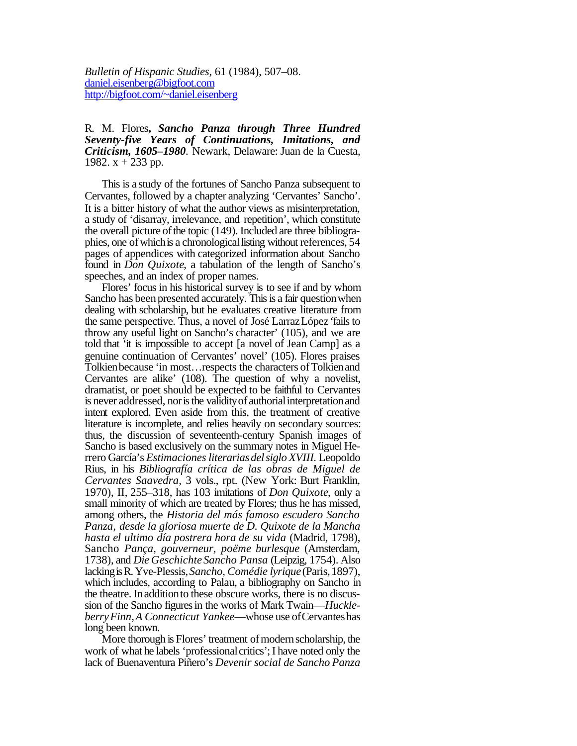*Bulletin of Hispanic Studies,* 61 (1984), 507–08. daniel.eisenberg@bigfoot.com http://bigfoot.com/~daniel.eisenberg

R. M. Flores**,** *Sancho Panza through Three Hundred Seventy-five Years of Continuations, Imitations, and Criticism, 1605–1980.* Newark, Delaware: Juan de la Cuesta, 1982.  $x + 233$  pp.

This is a study of the fortunes of Sancho Panza subsequent to Cervantes, followed by a chapter analyzing 'Cervantes' Sancho'. It is a bitter history of what the author views as misinterpretation, a study of 'disarray, irrelevance, and repetition', which constitute the overall picture of the topic (149). Included are three bibliographies, one of which is a chronological listing without references, 54 pages of appendices with categorized information about Sancho found in *Don Quixote*, a tabulation of the length of Sancho's speeches, and an index of proper names.

Flores' focus in his historical survey is to see if and by whom Sancho has been presented accurately. This is a fair question when dealing with scholarship, but he evaluates creative literature from the same perspective. Thus, a novel of José LarrazLópez 'failsto throw any useful light on Sancho's character' (105), and we are told that 'it is impossible to accept [a novel of Jean Camp] as a genuine continuation of Cervantes' novel' (105). Flores praises Tolkien because 'in most... respects the characters of Tolkien and Cervantes are alike' (108). The question of why a novelist, dramatist, or poet should be expected to be faithful to Cervantes is never addressed, nor is the validity of authorial interpretation and intent explored. Even aside from this, the treatment of creative literature is incomplete, and relies heavily on secondary sources: thus, the discussion of seventeenth-century Spanish images of Sancho is based exclusively on the summary notes in Miguel Herrero García's *Estimacionesliterariasdelsiglo XVIII.* Leopoldo Rius, in his *Bibliografía crítica de las obras de Miguel de Cervantes Saavedra,* 3 vols., rpt. (New York: Burt Franklin, 1970), II, 255–318, has 103 imitations of *Don Quixote*, only a small minority of which are treated by Flores; thus he has missed, among others, the *Historia del más famoso escudero Sancho Panza, desde la gloriosa muerte de D. Quixote de la Mancha hasta el ultimo día postrera hora de su vida* (Madrid, 1798), Sancho *Pança, gouverneur, poëme burlesque* (Amsterdam, 1738), and *Die Geschichte Sancho Pansa* (Leipzig, 1754). Also lackingisR.Yve-Plessis,*Sancho, Comédie lyrique* (Paris,1897), which includes, according to Palau, a bibliography on Sancho in the theatre. In addition to these obscure works, there is no discussion of the Sancho figures in the works of Mark Twain—*HuckleberryFinn,A Connecticut Yankee*—whose use ofCervanteshas long been known.

More thorough is Flores' treatment of modern scholarship, the work of what he labels 'professional critics'; I have noted only the lack of Buenaventura Piñero's *Devenir social de Sancho Panza*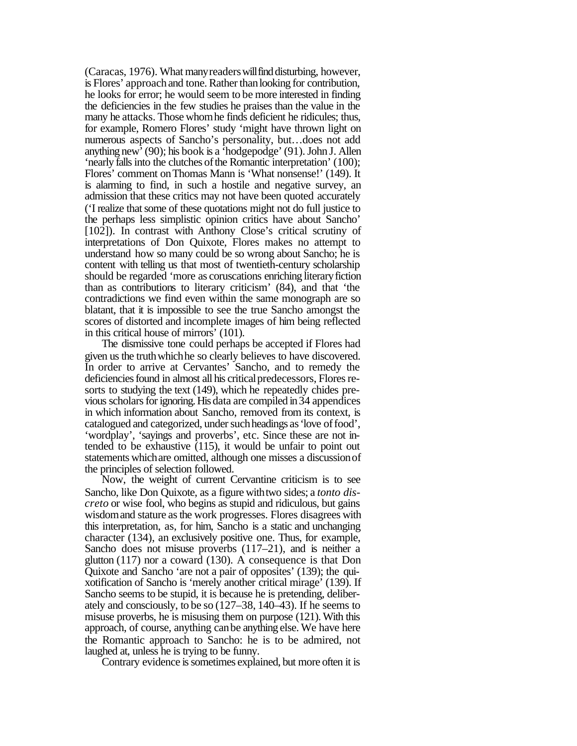(Caracas, 1976). What many readers will find disturbing, however, is Flores' approach and tone. Rather than looking for contribution, he looks for error; he would seem to be more interested in finding the deficiencies in the few studies he praises than the value in the many he attacks. Those whomhe finds deficient he ridicules; thus, for example, Romero Flores' study 'might have thrown light on numerous aspects of Sancho's personality, but…does not add anything new'(90); his book is a 'hodgepodge' (91).John J. Allen 'nearly falls into the clutches of the Romantic interpretation' (100); Flores' comment onThomas Mann is 'What nonsense!' (149). It is alarming to find, in such a hostile and negative survey, an admission that these critics may not have been quoted accurately ('I realize thatsome of these quotations might not do full justice to the perhaps less simplistic opinion critics have about Sancho' [102]). In contrast with Anthony Close's critical scrutiny of interpretations of Don Quixote, Flores makes no attempt to understand how so many could be so wrong about Sancho; he is content with telling us that most of twentieth-century scholarship should be regarded 'more as coruscations enriching literaryfiction than as contributions to literary criticism' (84), and that 'the contradictions we find even within the same monograph are so blatant, that it is impossible to see the true Sancho amongst the scores of distorted and incomplete images of him being reflected in this critical house of mirrors' (101).

The dismissive tone could perhaps be accepted if Flores had given us the truthwhichhe so clearly believes to have discovered. In order to arrive at Cervantes' Sancho, and to remedy the deficiencies found in almost all his critical predecessors, Flores resorts to studying the text (149), which he repeatedly chides previous scholars for ignoring. His data are compiled in 34 appendices in which information about Sancho, removed from its context, is catalogued and categorized, under such headings as 'love of food', 'wordplay', 'sayings and proverbs', etc. Since these are not intended to be exhaustive  $(115)$ , it would be unfair to point out statements whichare omitted, although one misses a discussionof the principles of selection followed.

Now, the weight of current Cervantine criticism is to see Sancho, like Don Quixote, as a figure withtwo sides; a *tonto discreto* or wise fool, who begins as stupid and ridiculous, but gains wisdom and stature as the work progresses. Flores disagrees with this interpretation, as, for him, Sancho is a static and unchanging character (134), an exclusively positive one. Thus, for example, Sancho does not misuse proverbs (117–21), and is neither a glutton (117) nor a coward (130). A consequence is that Don Quixote and Sancho 'are not a pair of opposites' (139); the quixotification of Sancho is 'merely another critical mirage' (139). If Sancho seems to be stupid, it is because he is pretending, deliberately and consciously, to be so (127–38, 140–43). If he seems to misuse proverbs, he is misusing them on purpose (121). With this approach, of course, anything canbe anything else. We have here the Romantic approach to Sancho: he is to be admired, not laughed at, unless he is trying to be funny.

Contrary evidence is sometimes explained, but more often it is